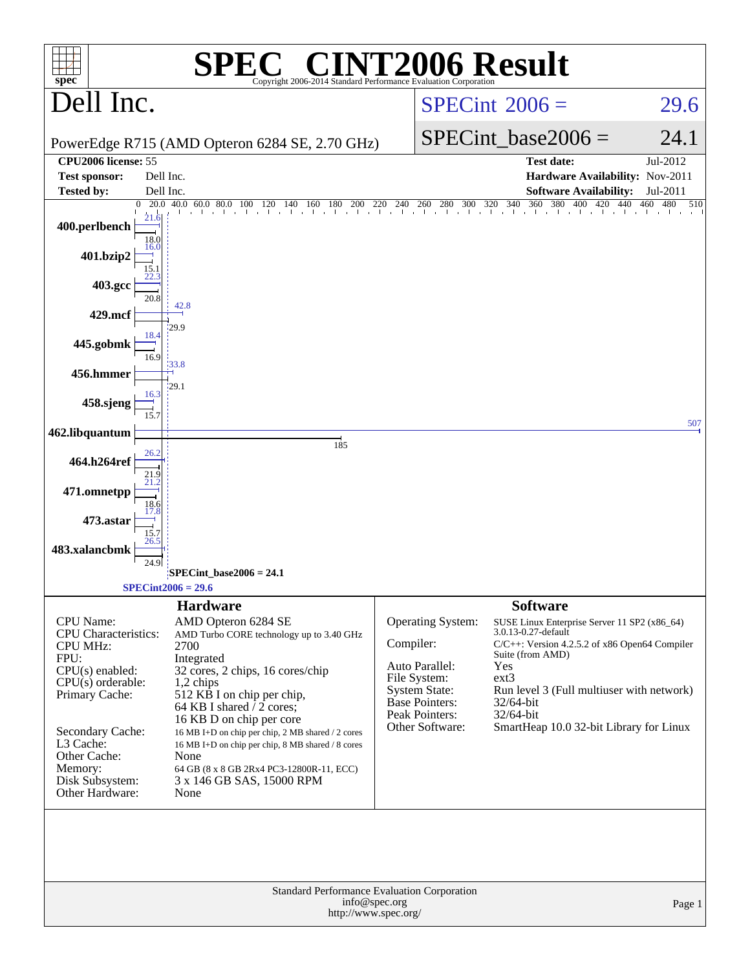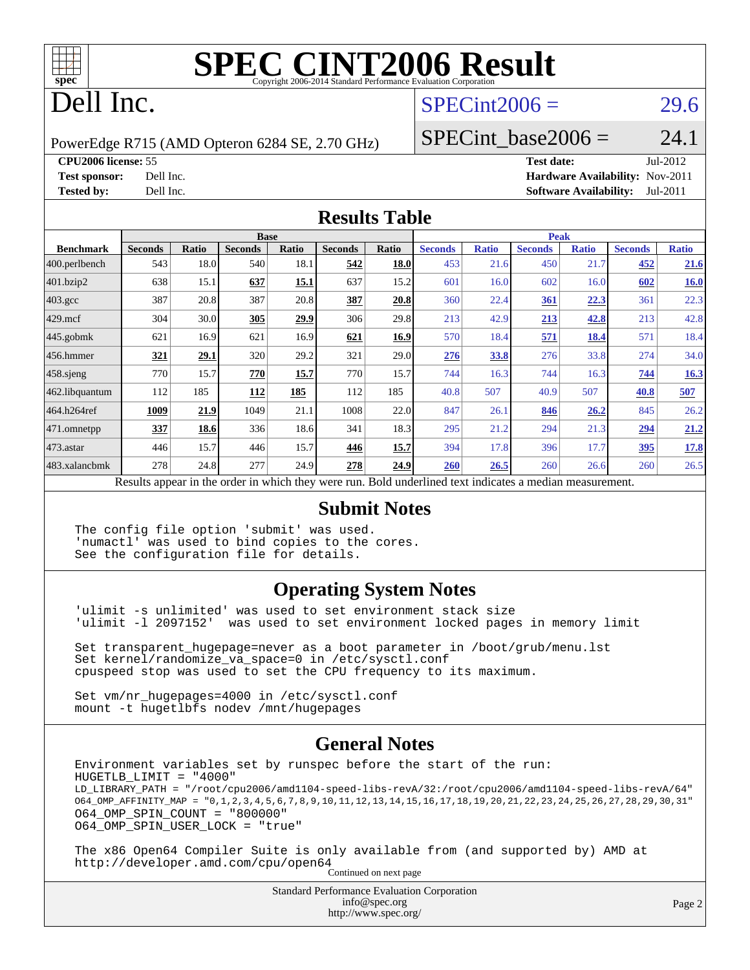

## Dell Inc.

#### $SPECint2006 = 29.6$  $SPECint2006 = 29.6$

PowerEdge R715 (AMD Opteron 6284 SE, 2.70 GHz)

SPECint base2006 =  $24.1$ 

**[CPU2006 license:](http://www.spec.org/auto/cpu2006/Docs/result-fields.html#CPU2006license)** 55 **[Test date:](http://www.spec.org/auto/cpu2006/Docs/result-fields.html#Testdate)** Jul-2012 **[Test sponsor:](http://www.spec.org/auto/cpu2006/Docs/result-fields.html#Testsponsor)** Dell Inc. **[Hardware Availability:](http://www.spec.org/auto/cpu2006/Docs/result-fields.html#HardwareAvailability)** Nov-2011 **[Tested by:](http://www.spec.org/auto/cpu2006/Docs/result-fields.html#Testedby)** Dell Inc. **[Software Availability:](http://www.spec.org/auto/cpu2006/Docs/result-fields.html#SoftwareAvailability)** Jul-2011

#### **[Results Table](http://www.spec.org/auto/cpu2006/Docs/result-fields.html#ResultsTable)**

|                                                                                                                 | <b>Base</b>    |              |                |              | <b>Peak</b>    |              |                |              |                |              |                |              |
|-----------------------------------------------------------------------------------------------------------------|----------------|--------------|----------------|--------------|----------------|--------------|----------------|--------------|----------------|--------------|----------------|--------------|
| <b>Benchmark</b>                                                                                                | <b>Seconds</b> | <b>Ratio</b> | <b>Seconds</b> | <b>Ratio</b> | <b>Seconds</b> | <b>Ratio</b> | <b>Seconds</b> | <b>Ratio</b> | <b>Seconds</b> | <b>Ratio</b> | <b>Seconds</b> | <b>Ratio</b> |
| 400.perlbench                                                                                                   | 543            | 18.0         | 540            | 18.1         | 542            | 18.0         | 453            | 21.6         | 450            | 21.7         | 452            | <u>21.6</u>  |
| 401.bzip2                                                                                                       | 638            | 15.1         | 637            | 15.1         | 637            | 15.2         | 601            | 16.0         | 602            | 16.0         | 602            | 16.0         |
| $403.\text{gcc}$                                                                                                | 387            | 20.8         | 387            | 20.8         | 387            | 20.8         | 360            | 22.4         | 361            | 22.3         | 361            | 22.3         |
| $429$ mcf                                                                                                       | 304            | 30.0         | 305            | 29.9         | 306            | 29.8         | 213            | 42.9         | 213            | 42.8         | 213            | 42.8         |
| $445$ .gobmk                                                                                                    | 621            | 16.9         | 621            | 16.9         | 621            | 16.9         | 570            | 18.4         | 571            | 18.4         | 571            | 18.4         |
| 456.hmmer                                                                                                       | 321            | <u>29.1</u>  | 320            | 29.2         | 321            | 29.0         | <b>276</b>     | 33.8         | 276            | 33.8         | 274            | 34.0         |
| $458$ .sjeng                                                                                                    | 770            | 15.7         | 770            | 15.7         | 770            | 15.7         | 744            | 16.3         | 744            | 16.3         | 744            | 16.3         |
| 462.libquantum                                                                                                  | 112            | 185          | <b>112</b>     | 185          | 112            | 185          | 40.8           | 507          | 40.9           | 507          | 40.8           | 507          |
| 464.h264ref                                                                                                     | 1009           | 21.9         | 1049           | 21.1         | 1008           | 22.0         | 847            | 26.1         | 846            | 26.2         | 845            | 26.2         |
| 471.omnetpp                                                                                                     | 337            | 18.6         | 336            | 18.6         | 341            | 18.3         | 295            | 21.2         | 294            | 21.3         | 294            | 21.2         |
| $473$ . astar                                                                                                   | 446            | 15.7         | 446            | 15.7         | 446            | 15.7         | 394            | 17.8         | 396            | 17.7         | 395            | 17.8         |
| 483.xalancbmk                                                                                                   | 278            | 24.8         | 277            | 24.9         | 278            | 24.9         | 260            | 26.5         | 260            | 26.6         | 260            | 26.5         |
| <b>Dold</b> underlined text indicates a modian measurement<br>Decute ennear in the order in which thay were min |                |              |                |              |                |              |                |              |                |              |                |              |

Results appear in the [order in which they were run.](http://www.spec.org/auto/cpu2006/Docs/result-fields.html#RunOrder) Bold underlined text [indicates a median measurement.](http://www.spec.org/auto/cpu2006/Docs/result-fields.html#Median)

#### **[Submit Notes](http://www.spec.org/auto/cpu2006/Docs/result-fields.html#SubmitNotes)**

The config file option 'submit' was used. 'numactl' was used to bind copies to the cores. See the configuration file for details.

#### **[Operating System Notes](http://www.spec.org/auto/cpu2006/Docs/result-fields.html#OperatingSystemNotes)**

'ulimit -s unlimited' was used to set environment stack size 'ulimit -l 2097152' was used to set environment locked pages in memory limit

Set transparent\_hugepage=never as a boot parameter in /boot/grub/menu.lst Set kernel/randomize\_va\_space=0 in /etc/sysctl.conf cpuspeed stop was used to set the CPU frequency to its maximum.

Set vm/nr\_hugepages=4000 in /etc/sysctl.conf mount -t hugetlbfs nodev /mnt/hugepages

#### **[General Notes](http://www.spec.org/auto/cpu2006/Docs/result-fields.html#GeneralNotes)**

Environment variables set by runspec before the start of the run: HUGETLB\_LIMIT = "4000" LD\_LIBRARY\_PATH = "/root/cpu2006/amd1104-speed-libs-revA/32:/root/cpu2006/amd1104-speed-libs-revA/64" O64\_OMP\_AFFINITY\_MAP = "0,1,2,3,4,5,6,7,8,9,10,11,12,13,14,15,16,17,18,19,20,21,22,23,24,25,26,27,28,29,30,31" O64\_OMP\_SPIN\_COUNT = "800000" O64\_OMP\_SPIN\_USER\_LOCK = "true"

The x86 Open64 Compiler Suite is only available from (and supported by) AMD at <http://developer.amd.com/cpu/open64> Continued on next page

> Standard Performance Evaluation Corporation [info@spec.org](mailto:info@spec.org) <http://www.spec.org/>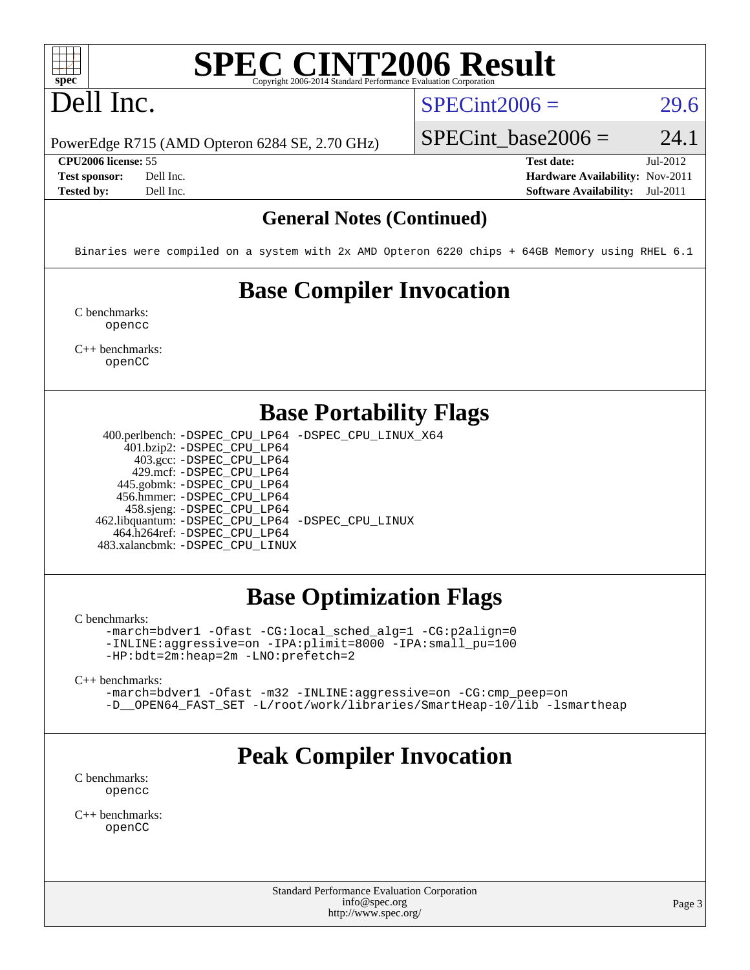## Dell Inc.

#### $SPECint2006 = 29.6$  $SPECint2006 = 29.6$

PowerEdge R715 (AMD Opteron 6284 SE, 2.70 GHz)

SPECint base2006 =  $24.1$ 

**[CPU2006 license:](http://www.spec.org/auto/cpu2006/Docs/result-fields.html#CPU2006license)** 55 **[Test date:](http://www.spec.org/auto/cpu2006/Docs/result-fields.html#Testdate)** Jul-2012 **[Test sponsor:](http://www.spec.org/auto/cpu2006/Docs/result-fields.html#Testsponsor)** Dell Inc. **[Hardware Availability:](http://www.spec.org/auto/cpu2006/Docs/result-fields.html#HardwareAvailability)** Nov-2011 **[Tested by:](http://www.spec.org/auto/cpu2006/Docs/result-fields.html#Testedby)** Dell Inc. **[Software Availability:](http://www.spec.org/auto/cpu2006/Docs/result-fields.html#SoftwareAvailability)** Jul-2011

#### **[General Notes \(Continued\)](http://www.spec.org/auto/cpu2006/Docs/result-fields.html#GeneralNotes)**

Binaries were compiled on a system with 2x AMD Opteron 6220 chips + 64GB Memory using RHEL 6.1

## **[Base Compiler Invocation](http://www.spec.org/auto/cpu2006/Docs/result-fields.html#BaseCompilerInvocation)**

[C benchmarks](http://www.spec.org/auto/cpu2006/Docs/result-fields.html#Cbenchmarks): [opencc](http://www.spec.org/cpu2006/results/res2012q3/cpu2006-20120716-23742.flags.html#user_CCbase_Fopencc)

[C++ benchmarks:](http://www.spec.org/auto/cpu2006/Docs/result-fields.html#CXXbenchmarks) [openCC](http://www.spec.org/cpu2006/results/res2012q3/cpu2006-20120716-23742.flags.html#user_CXXbase_FopenCC)

#### **[Base Portability Flags](http://www.spec.org/auto/cpu2006/Docs/result-fields.html#BasePortabilityFlags)**

 400.perlbench: [-DSPEC\\_CPU\\_LP64](http://www.spec.org/cpu2006/results/res2012q3/cpu2006-20120716-23742.flags.html#b400.perlbench_basePORTABILITY_DSPEC_CPU_LP64) [-DSPEC\\_CPU\\_LINUX\\_X64](http://www.spec.org/cpu2006/results/res2012q3/cpu2006-20120716-23742.flags.html#b400.perlbench_baseCPORTABILITY_DSPEC_CPU_LINUX_X64) 401.bzip2: [-DSPEC\\_CPU\\_LP64](http://www.spec.org/cpu2006/results/res2012q3/cpu2006-20120716-23742.flags.html#suite_basePORTABILITY401_bzip2_DSPEC_CPU_LP64)

 403.gcc: [-DSPEC\\_CPU\\_LP64](http://www.spec.org/cpu2006/results/res2012q3/cpu2006-20120716-23742.flags.html#suite_basePORTABILITY403_gcc_DSPEC_CPU_LP64) 429.mcf: [-DSPEC\\_CPU\\_LP64](http://www.spec.org/cpu2006/results/res2012q3/cpu2006-20120716-23742.flags.html#suite_basePORTABILITY429_mcf_DSPEC_CPU_LP64) 445.gobmk: [-DSPEC\\_CPU\\_LP64](http://www.spec.org/cpu2006/results/res2012q3/cpu2006-20120716-23742.flags.html#suite_basePORTABILITY445_gobmk_DSPEC_CPU_LP64) 456.hmmer: [-DSPEC\\_CPU\\_LP64](http://www.spec.org/cpu2006/results/res2012q3/cpu2006-20120716-23742.flags.html#suite_basePORTABILITY456_hmmer_DSPEC_CPU_LP64) 458.sjeng: [-DSPEC\\_CPU\\_LP64](http://www.spec.org/cpu2006/results/res2012q3/cpu2006-20120716-23742.flags.html#suite_basePORTABILITY458_sjeng_DSPEC_CPU_LP64) 462.libquantum: [-DSPEC\\_CPU\\_LP64](http://www.spec.org/cpu2006/results/res2012q3/cpu2006-20120716-23742.flags.html#suite_basePORTABILITY462_libquantum_DSPEC_CPU_LP64) [-DSPEC\\_CPU\\_LINUX](http://www.spec.org/cpu2006/results/res2012q3/cpu2006-20120716-23742.flags.html#b462.libquantum_baseCPORTABILITY_DSPEC_CPU_LINUX) 464.h264ref: [-DSPEC\\_CPU\\_LP64](http://www.spec.org/cpu2006/results/res2012q3/cpu2006-20120716-23742.flags.html#suite_basePORTABILITY464_h264ref_DSPEC_CPU_LP64) 483.xalancbmk: [-DSPEC\\_CPU\\_LINUX](http://www.spec.org/cpu2006/results/res2012q3/cpu2006-20120716-23742.flags.html#b483.xalancbmk_baseCXXPORTABILITY_DSPEC_CPU_LINUX)

#### **[Base Optimization Flags](http://www.spec.org/auto/cpu2006/Docs/result-fields.html#BaseOptimizationFlags)**

[C benchmarks](http://www.spec.org/auto/cpu2006/Docs/result-fields.html#Cbenchmarks):

[-march=bdver1](http://www.spec.org/cpu2006/results/res2012q3/cpu2006-20120716-23742.flags.html#user_CCbase_F-march_fdb9f2653a6b3eaa60be4cf93a9ba5f3) [-Ofast](http://www.spec.org/cpu2006/results/res2012q3/cpu2006-20120716-23742.flags.html#user_CCbase_F-Ofast) [-CG:local\\_sched\\_alg=1](http://www.spec.org/cpu2006/results/res2012q3/cpu2006-20120716-23742.flags.html#user_CCbase_F-CG:local_sched_alg_2175ca61f1a2717f1ec57b14995b9e7a) [-CG:p2align=0](http://www.spec.org/cpu2006/results/res2012q3/cpu2006-20120716-23742.flags.html#user_CCbase_F-CG:p2align_f0b0486d75f2be7d5254cfc84ff9845e) [-INLINE:aggressive=on](http://www.spec.org/cpu2006/results/res2012q3/cpu2006-20120716-23742.flags.html#user_CCbase_F-INLINE:aggressive_e14807c0a1e56a6a83cb25ab07c7ae8a) [-IPA:plimit=8000](http://www.spec.org/cpu2006/results/res2012q3/cpu2006-20120716-23742.flags.html#user_CCbase_F-IPA:plimit_92cba83f3d47f09c7d5368fda93ddbd7) [-IPA:small\\_pu=100](http://www.spec.org/cpu2006/results/res2012q3/cpu2006-20120716-23742.flags.html#user_CCbase_F-IPA:small_pu_900a09767c6929d55c26ea3d32399996) [-HP:bdt=2m:heap=2m](http://www.spec.org/cpu2006/results/res2012q3/cpu2006-20120716-23742.flags.html#user_CCbase_F-HUGEPAGE_855e97383b49831f390a2af16fe7202f) [-LNO:prefetch=2](http://www.spec.org/cpu2006/results/res2012q3/cpu2006-20120716-23742.flags.html#user_CCbase_F-LNO:prefetch_9aee81855ba0592a3c8a40ba7b041143)

[C++ benchmarks:](http://www.spec.org/auto/cpu2006/Docs/result-fields.html#CXXbenchmarks)

[-march=bdver1](http://www.spec.org/cpu2006/results/res2012q3/cpu2006-20120716-23742.flags.html#user_CXXbase_F-march_fdb9f2653a6b3eaa60be4cf93a9ba5f3) [-Ofast](http://www.spec.org/cpu2006/results/res2012q3/cpu2006-20120716-23742.flags.html#user_CXXbase_F-Ofast) [-m32](http://www.spec.org/cpu2006/results/res2012q3/cpu2006-20120716-23742.flags.html#user_CXXbase_F-m32) [-INLINE:aggressive=on](http://www.spec.org/cpu2006/results/res2012q3/cpu2006-20120716-23742.flags.html#user_CXXbase_F-INLINE:aggressive_e14807c0a1e56a6a83cb25ab07c7ae8a) [-CG:cmp\\_peep=on](http://www.spec.org/cpu2006/results/res2012q3/cpu2006-20120716-23742.flags.html#user_CXXbase_F-CG:cmp_peep_ab90c979e95bee1f1f617a32622424ed) [-D\\_\\_OPEN64\\_FAST\\_SET](http://www.spec.org/cpu2006/results/res2012q3/cpu2006-20120716-23742.flags.html#user_CXXbase_F-D__OPEN64_FAST_SET_294c6d8260f208640e5474aae24dc22e) [-L/root/work/libraries/SmartHeap-10/lib -lsmartheap](http://www.spec.org/cpu2006/results/res2012q3/cpu2006-20120716-23742.flags.html#user_CXXbase_F-L_lib_directory_lsmartheap_85a76c4428362ddebb9fcf59329573fc)

#### **[Peak Compiler Invocation](http://www.spec.org/auto/cpu2006/Docs/result-fields.html#PeakCompilerInvocation)**

[C benchmarks](http://www.spec.org/auto/cpu2006/Docs/result-fields.html#Cbenchmarks): [opencc](http://www.spec.org/cpu2006/results/res2012q3/cpu2006-20120716-23742.flags.html#user_CCpeak_Fopencc)

[C++ benchmarks:](http://www.spec.org/auto/cpu2006/Docs/result-fields.html#CXXbenchmarks) [openCC](http://www.spec.org/cpu2006/results/res2012q3/cpu2006-20120716-23742.flags.html#user_CXXpeak_FopenCC)

> Standard Performance Evaluation Corporation [info@spec.org](mailto:info@spec.org) <http://www.spec.org/>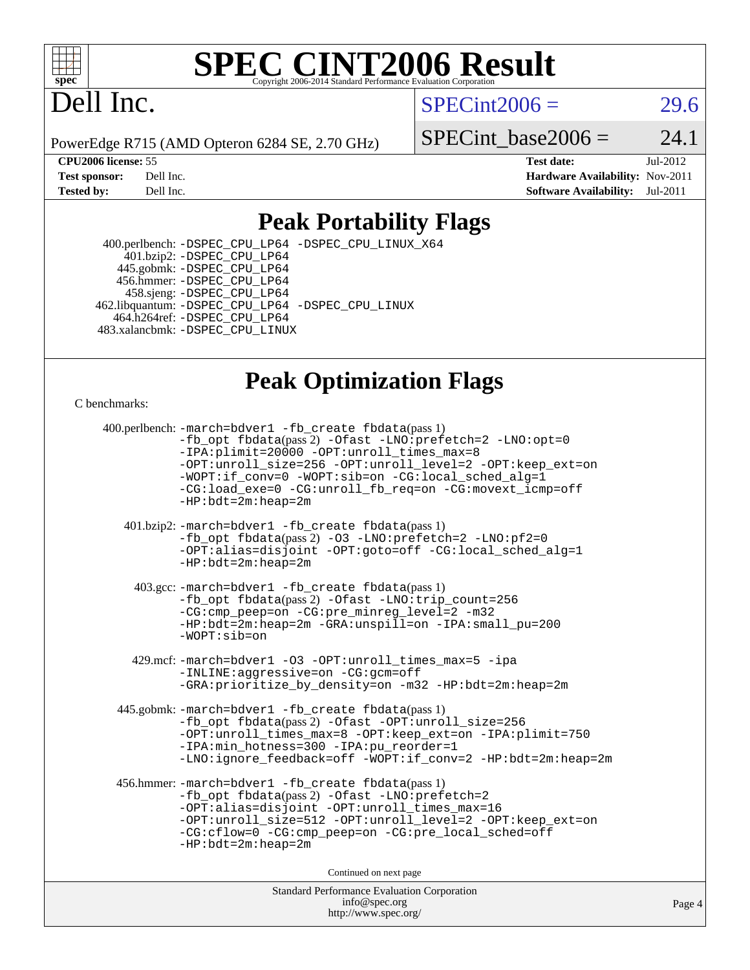

## Dell Inc.

 $SPECint2006 = 29.6$  $SPECint2006 = 29.6$ 

PowerEdge R715 (AMD Opteron 6284 SE, 2.70 GHz)

 $SPECTnt\_base2006 = 24.1$ 

**[CPU2006 license:](http://www.spec.org/auto/cpu2006/Docs/result-fields.html#CPU2006license)** 55 **[Test date:](http://www.spec.org/auto/cpu2006/Docs/result-fields.html#Testdate)** Jul-2012 **[Test sponsor:](http://www.spec.org/auto/cpu2006/Docs/result-fields.html#Testsponsor)** Dell Inc. **[Hardware Availability:](http://www.spec.org/auto/cpu2006/Docs/result-fields.html#HardwareAvailability)** Nov-2011 **[Tested by:](http://www.spec.org/auto/cpu2006/Docs/result-fields.html#Testedby)** Dell Inc. **[Software Availability:](http://www.spec.org/auto/cpu2006/Docs/result-fields.html#SoftwareAvailability)** Jul-2011

#### **[Peak Portability Flags](http://www.spec.org/auto/cpu2006/Docs/result-fields.html#PeakPortabilityFlags)**

 400.perlbench: [-DSPEC\\_CPU\\_LP64](http://www.spec.org/cpu2006/results/res2012q3/cpu2006-20120716-23742.flags.html#b400.perlbench_peakPORTABILITY_DSPEC_CPU_LP64) [-DSPEC\\_CPU\\_LINUX\\_X64](http://www.spec.org/cpu2006/results/res2012q3/cpu2006-20120716-23742.flags.html#b400.perlbench_peakCPORTABILITY_DSPEC_CPU_LINUX_X64) 401.bzip2: [-DSPEC\\_CPU\\_LP64](http://www.spec.org/cpu2006/results/res2012q3/cpu2006-20120716-23742.flags.html#suite_peakPORTABILITY401_bzip2_DSPEC_CPU_LP64) 445.gobmk: [-DSPEC\\_CPU\\_LP64](http://www.spec.org/cpu2006/results/res2012q3/cpu2006-20120716-23742.flags.html#suite_peakPORTABILITY445_gobmk_DSPEC_CPU_LP64) 456.hmmer: [-DSPEC\\_CPU\\_LP64](http://www.spec.org/cpu2006/results/res2012q3/cpu2006-20120716-23742.flags.html#suite_peakPORTABILITY456_hmmer_DSPEC_CPU_LP64) 458.sjeng: [-DSPEC\\_CPU\\_LP64](http://www.spec.org/cpu2006/results/res2012q3/cpu2006-20120716-23742.flags.html#suite_peakPORTABILITY458_sjeng_DSPEC_CPU_LP64) 462.libquantum: [-DSPEC\\_CPU\\_LP64](http://www.spec.org/cpu2006/results/res2012q3/cpu2006-20120716-23742.flags.html#suite_peakPORTABILITY462_libquantum_DSPEC_CPU_LP64) [-DSPEC\\_CPU\\_LINUX](http://www.spec.org/cpu2006/results/res2012q3/cpu2006-20120716-23742.flags.html#b462.libquantum_peakCPORTABILITY_DSPEC_CPU_LINUX) 464.h264ref: [-DSPEC\\_CPU\\_LP64](http://www.spec.org/cpu2006/results/res2012q3/cpu2006-20120716-23742.flags.html#suite_peakPORTABILITY464_h264ref_DSPEC_CPU_LP64) 483.xalancbmk: [-DSPEC\\_CPU\\_LINUX](http://www.spec.org/cpu2006/results/res2012q3/cpu2006-20120716-23742.flags.html#b483.xalancbmk_peakCXXPORTABILITY_DSPEC_CPU_LINUX)

#### **[Peak Optimization Flags](http://www.spec.org/auto/cpu2006/Docs/result-fields.html#PeakOptimizationFlags)**

[C benchmarks](http://www.spec.org/auto/cpu2006/Docs/result-fields.html#Cbenchmarks):

| 400.perlbench: -march=bdver1 -fb_create fbdata(pass 1)<br>$-fb\_{opt}$ fbdata(pass 2) $-0$ fast $-LNO:pretetch=2$ $-LNO:opt=0$<br>-IPA:plimit=20000 -OPT:unroll_times_max=8<br>-OPT:unroll_size=256 -OPT:unroll_level=2 -OPT:keep_ext=on<br>-WOPT:if_conv=0 -WOPT:sib=on -CG:local_sched_alg=1<br>-CG:load_exe=0 -CG:unroll_fb_req=on -CG:movext_icmp=off<br>$-HP:bdt=2m:heap=2m$ |
|-----------------------------------------------------------------------------------------------------------------------------------------------------------------------------------------------------------------------------------------------------------------------------------------------------------------------------------------------------------------------------------|
| 401.bzip2: -march=bdver1 -fb_create fbdata(pass 1)<br>-fb_opt fbdata(pass 2) -03 -LNO:prefetch=2 -LNO:pf2=0<br>-OPT:alias=disjoint -OPT:goto=off -CG:local_sched_alg=1<br>$-HP:bdt=2m:heap=2m$                                                                                                                                                                                    |
| 403.gcc: -march=bdver1 -fb_create fbdata(pass 1)<br>-fb_opt fbdata(pass 2) -Ofast -LNO:trip_count=256<br>-CG:cmp_peep=on -CG:pre_minreg_level=2 -m32<br>$-HP:bdt=2m:heap=2m -GRA:unspill=on -IPA:small pu=200$<br>$-WOPT: si$                                                                                                                                                     |
| 429.mcf: -march=bdver1 -03 -OPT:unroll_times_max=5 -ipa<br>-INLINE:aggressive=on -CG:gcm=off<br>-GRA: prioritize_by_density=on -m32 -HP: bdt=2m: heap=2m                                                                                                                                                                                                                          |
| 445.gobmk: -march=bdver1 -fb_create fbdata(pass 1)<br>-fb_opt fbdata(pass 2) -Ofast -OPT:unroll_size=256<br>-OPT:unroll_times_max=8 -OPT:keep_ext=on -IPA:plimit=750<br>-IPA:min_hotness=300 -IPA:pu_reorder=1<br>-LNO:ignore_feedback=off -WOPT:if_conv=2 -HP:bdt=2m:heap=2m                                                                                                     |
| 456.hmmer: -march=bdver1 -fb_create fbdata(pass 1)<br>-fb_opt fbdata(pass 2) -Ofast -LNO:prefetch=2<br>-OPT:alias=disjoint -OPT:unroll_times_max=16<br>-OPT:unroll_size=512 -OPT:unroll_level=2 -OPT:keep_ext=on<br>-CG:cflow=0 -CG:cmp peep=on -CG:pre local sched=off<br>$-HP:bdt=2m:heap=2m$                                                                                   |
| Continued on next page                                                                                                                                                                                                                                                                                                                                                            |
| <b>Standard Performance Evaluation Corporation</b><br>info@spec.org                                                                                                                                                                                                                                                                                                               |

<http://www.spec.org/>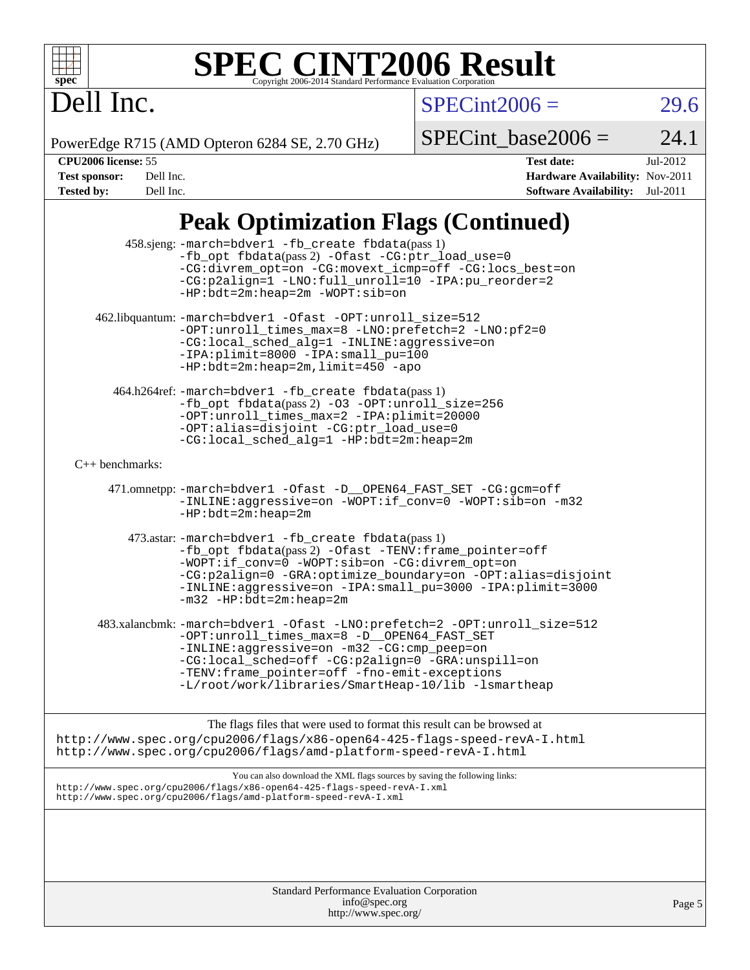# Dell Inc.

 $SPECint2006 =$  29.6

PowerEdge R715 (AMD Opteron 6284 SE, 2.70 GHz)

 $SPECTnt\_base2006 = 24.1$ 

| <b>CPU2006 license: 55</b> |        |
|----------------------------|--------|
| <b>Test sponsor:</b>       | Dell i |

**[CPU2006 license:](http://www.spec.org/auto/cpu2006/Docs/result-fields.html#CPU2006license)** 55 **[Test date:](http://www.spec.org/auto/cpu2006/Docs/result-fields.html#Testdate)** Jul-2012 **These** Security: Nov-2011 **[Tested by:](http://www.spec.org/auto/cpu2006/Docs/result-fields.html#Testedby)** Dell Inc. **[Software Availability:](http://www.spec.org/auto/cpu2006/Docs/result-fields.html#SoftwareAvailability)** Jul-2011

## **[Peak Optimization Flags \(Continued\)](http://www.spec.org/auto/cpu2006/Docs/result-fields.html#PeakOptimizationFlags)**

| 458.sjeng: -march=bdver1 -fb_create fbdata(pass 1)<br>-fb_opt fbdata(pass 2) -Ofast -CG: ptr_load_use=0<br>-CG:divrem_opt=on -CG:movext_icmp=off -CG:locs_best=on<br>-CG:p2align=1 -LNO:full_unroll=10 -IPA:pu_reorder=2<br>$-HP: bdt = 2m: hcap = 2m - WOPT: sib = on$                                                            |        |
|------------------------------------------------------------------------------------------------------------------------------------------------------------------------------------------------------------------------------------------------------------------------------------------------------------------------------------|--------|
| 462.libquantum: -march=bdver1 -Ofast -OPT:unroll_size=512<br>-OPT:unroll_times_max=8 -LNO:prefetch=2 -LNO:pf2=0<br>-CG:local_sched_alg=1 -INLINE:aggressive=on<br>-IPA:plimit=8000 -IPA:small_pu=100<br>$-HP:bdt=2m:heap=2m, limit=450$ -apo                                                                                       |        |
| 464.h264ref: -march=bdver1 -fb_create fbdata(pass 1)<br>-fb_opt fbdata(pass 2) -03 -0PT:unroll_size=256<br>-OPT:unroll_times_max=2 -IPA:plimit=20000<br>-OPT:alias=disjoint -CG:ptr_load_use=0<br>-CG:local_sched_alg=1 -HP:bdt=2m:heap=2m                                                                                         |        |
| $C_{++}$ benchmarks:                                                                                                                                                                                                                                                                                                               |        |
| 471.omnetpp: -march=bdver1 -Ofast -D__OPEN64_FAST_SET -CG:gcm=off<br>-INLINE:aggressive=on -WOPT:if_conv=0 -WOPT:sib=on -m32<br>$-HP:bdt=2m:heap=2m$                                                                                                                                                                               |        |
| 473.astar: -march=bdver1 -fb_create fbdata(pass 1)<br>-fb_opt fbdata(pass 2) -Ofast -TENV: frame_pointer=off<br>-WOPT:if_conv=0 -WOPT:sib=on -CG:divrem_opt=on<br>-CG:p2align=0 -GRA:optimize_boundary=on -OPT:alias=disjoint<br>-INLINE:aggressive=on -IPA:small pu=3000 -IPA:plimit=3000<br>$-m32$ -HP:bdt=2m:heap=2m            |        |
| 483.xalancbmk: -march=bdver1 -Ofast -LNO:prefetch=2 -OPT:unroll_size=512<br>-OPT:unroll_times_max=8 -D__OPEN64_FAST_SET<br>-INLINE:aggressive=on -m32 -CG:cmp_peep=on<br>-CG:local_sched=off -CG:p2align=0 -GRA:unspill=on<br>-TENV: frame_pointer=off -fno-emit-exceptions<br>-L/root/work/libraries/SmartHeap-10/lib -lsmartheap |        |
| The flags files that were used to format this result can be browsed at<br>http://www.spec.org/cpu2006/flags/x86-open64-425-flags-speed-revA-I.html<br>http://www.spec.org/cpu2006/flags/amd-platform-speed-revA-I.html                                                                                                             |        |
| You can also download the XML flags sources by saving the following links:<br>http://www.spec.org/cpu2006/flags/x86-open64-425-flags-speed-revA-I.xml<br>http://www.spec.org/cpu2006/flags/amd-platform-speed-revA-I.xml                                                                                                           |        |
|                                                                                                                                                                                                                                                                                                                                    |        |
| Standard Performance Evaluation Corporation<br>info@spec.org                                                                                                                                                                                                                                                                       | Page 5 |

<http://www.spec.org/>